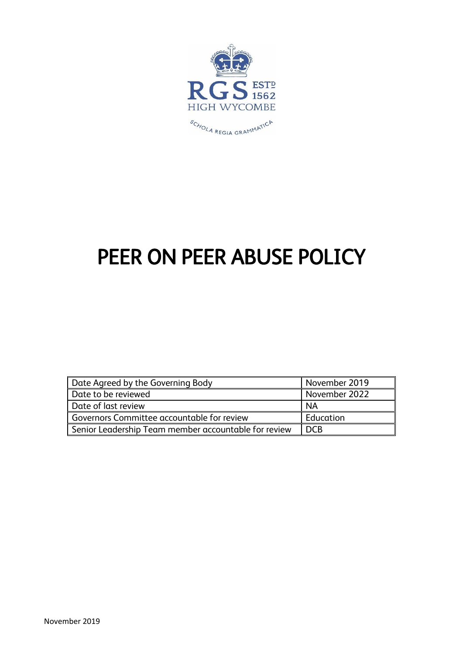

# PEER ON PEER ABUSE POLICY

| Date Agreed by the Governing Body                    | November 2019 |
|------------------------------------------------------|---------------|
| Date to be reviewed                                  | November 2022 |
| Date of last review                                  | <b>NA</b>     |
| Governors Committee accountable for review           | Education     |
| Senior Leadership Team member accountable for review | I DCB         |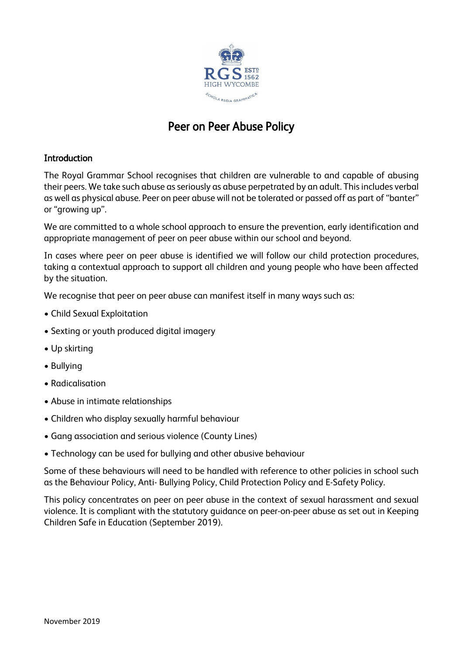

# Peer on Peer Abuse Policy

# **Introduction**

The Royal Grammar School recognises that children are vulnerable to and capable of abusing their peers. We take such abuse as seriously as abuse perpetrated by an adult. This includes verbal as well as physical abuse. Peer on peer abuse will not be tolerated or passed off as part of "banter" or "growing up".

We are committed to a whole school approach to ensure the prevention, early identification and appropriate management of peer on peer abuse within our school and beyond.

In cases where peer on peer abuse is identified we will follow our child protection procedures, taking a contextual approach to support all children and young people who have been affected by the situation.

We recognise that peer on peer abuse can manifest itself in many ways such as:

- Child Sexual Exploitation
- Sexting or youth produced digital imagery
- Up skirting
- Bullying
- Radicalisation
- Abuse in intimate relationships
- Children who display sexually harmful behaviour
- Gang association and serious violence (County Lines)
- Technology can be used for bullying and other abusive behaviour

Some of these behaviours will need to be handled with reference to other policies in school such as the Behaviour Policy, Anti- Bullying Policy, Child Protection Policy and E-Safety Policy.

This policy concentrates on peer on peer abuse in the context of sexual harassment and sexual violence. It is compliant with the statutory guidance on peer-on-peer abuse as set out in Keeping Children Safe in Education (September 2019).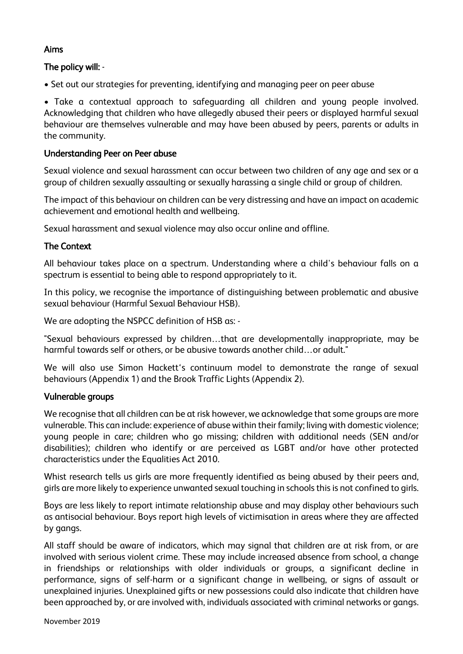# Aims

# The policy will: -

• Set out our strategies for preventing, identifying and managing peer on peer abuse

• Take a contextual approach to safeguarding all children and young people involved. Acknowledging that children who have allegedly abused their peers or displayed harmful sexual behaviour are themselves vulnerable and may have been abused by peers, parents or adults in the community.

#### Understanding Peer on Peer abuse

Sexual violence and sexual harassment can occur between two children of any age and sex or a group of children sexually assaulting or sexually harassing a single child or group of children.

The impact of this behaviour on children can be very distressing and have an impact on academic achievement and emotional health and wellbeing.

Sexual harassment and sexual violence may also occur online and offline.

# The Context

All behaviour takes place on a spectrum. Understanding where a child's behaviour falls on a spectrum is essential to being able to respond appropriately to it.

In this policy, we recognise the importance of distinguishing between problematic and abusive sexual behaviour (Harmful Sexual Behaviour HSB).

We are adopting the NSPCC definition of HSB as: -

"Sexual behaviours expressed by children…that are developmentally inappropriate, may be harmful towards self or others, or be abusive towards another child…or adult."

We will also use Simon Hackett's continuum model to demonstrate the range of sexual behaviours (Appendix 1) and the Brook Traffic Lights (Appendix 2).

#### Vulnerable groups

We recognise that all children can be at risk however, we acknowledge that some groups are more vulnerable. This can include: experience of abuse within their family; living with domestic violence; young people in care; children who go missing; children with additional needs (SEN and/or disabilities); children who identify or are perceived as LGBT and/or have other protected characteristics under the Equalities Act 2010.

Whist research tells us girls are more frequently identified as being abused by their peers and, girls are more likely to experience unwanted sexual touching in schools this is not confined to girls.

Boys are less likely to report intimate relationship abuse and may display other behaviours such as antisocial behaviour. Boys report high levels of victimisation in areas where they are affected by gangs.

All staff should be aware of indicators, which may signal that children are at risk from, or are involved with serious violent crime. These may include increased absence from school, a change in friendships or relationships with older individuals or groups, a significant decline in performance, signs of self-harm or a significant change in wellbeing, or signs of assault or unexplained injuries. Unexplained gifts or new possessions could also indicate that children have been approached by, or are involved with, individuals associated with criminal networks or gangs.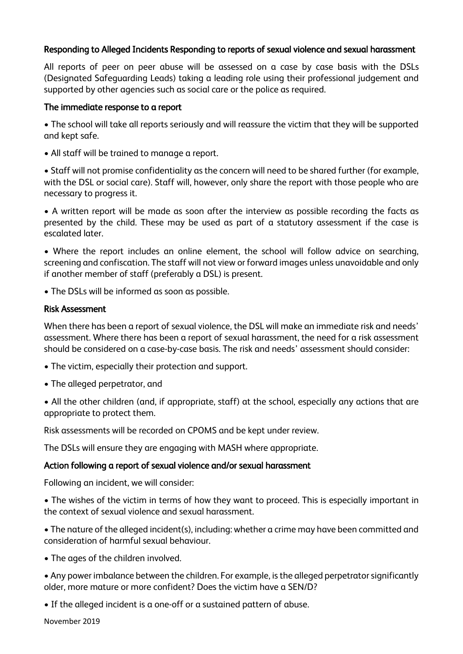# Responding to Alleged Incidents Responding to reports of sexual violence and sexual harassment

All reports of peer on peer abuse will be assessed on a case by case basis with the DSLs (Designated Safeguarding Leads) taking a leading role using their professional judgement and supported by other agencies such as social care or the police as required.

#### The immediate response to a report

• The school will take all reports seriously and will reassure the victim that they will be supported and kept safe.

• All staff will be trained to manage a report.

• Staff will not promise confidentiality as the concern will need to be shared further (for example, with the DSL or social care). Staff will, however, only share the report with those people who are necessary to progress it.

• A written report will be made as soon after the interview as possible recording the facts as presented by the child. These may be used as part of a statutory assessment if the case is escalated later.

• Where the report includes an online element, the school will follow advice on searching, screening and confiscation. The staff will not view or forward images unless unavoidable and only if another member of staff (preferably a DSL) is present.

• The DSLs will be informed as soon as possible.

#### Risk Assessment

When there has been a report of sexual violence, the DSL will make an immediate risk and needs' assessment. Where there has been a report of sexual harassment, the need for a risk assessment should be considered on a case-by-case basis. The risk and needs' assessment should consider:

- The victim, especially their protection and support.
- The alleged perpetrator, and
- All the other children (and, if appropriate, staff) at the school, especially any actions that are appropriate to protect them.

Risk assessments will be recorded on CPOMS and be kept under review.

The DSLs will ensure they are engaging with MASH where appropriate.

#### Action following a report of sexual violence and/or sexual harassment

Following an incident, we will consider:

• The wishes of the victim in terms of how they want to proceed. This is especially important in the context of sexual violence and sexual harassment.

• The nature of the alleged incident(s), including: whether a crime may have been committed and consideration of harmful sexual behaviour.

• The ages of the children involved.

• Any power imbalance between the children. For example, is the alleged perpetrator significantly older, more mature or more confident? Does the victim have a SEN/D?

• If the alleged incident is a one-off or a sustained pattern of abuse.

November 2019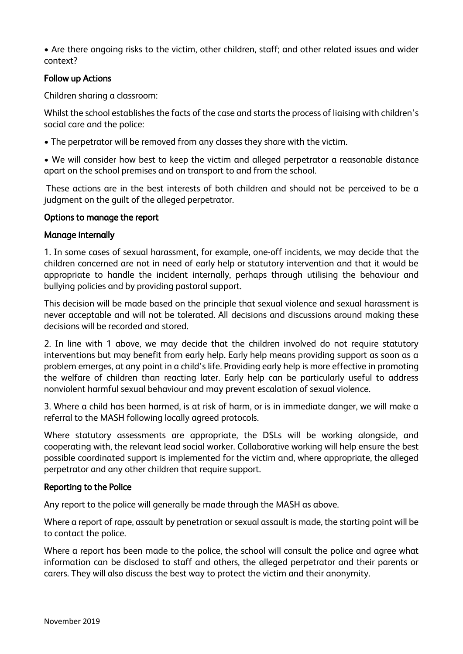• Are there ongoing risks to the victim, other children, staff; and other related issues and wider context?

## Follow up Actions

Children sharing a classroom:

Whilst the school establishes the facts of the case and starts the process of liaising with children's social care and the police:

• The perpetrator will be removed from any classes they share with the victim.

• We will consider how best to keep the victim and alleged perpetrator a reasonable distance apart on the school premises and on transport to and from the school.

These actions are in the best interests of both children and should not be perceived to be a judgment on the guilt of the alleged perpetrator.

#### Options to manage the report

#### Manage internally

1. In some cases of sexual harassment, for example, one-off incidents, we may decide that the children concerned are not in need of early help or statutory intervention and that it would be appropriate to handle the incident internally, perhaps through utilising the behaviour and bullying policies and by providing pastoral support.

This decision will be made based on the principle that sexual violence and sexual harassment is never acceptable and will not be tolerated. All decisions and discussions around making these decisions will be recorded and stored.

2. In line with 1 above, we may decide that the children involved do not require statutory interventions but may benefit from early help. Early help means providing support as soon as a problem emerges, at any point in a child's life. Providing early help is more effective in promoting the welfare of children than reacting later. Early help can be particularly useful to address nonviolent harmful sexual behaviour and may prevent escalation of sexual violence.

3. Where a child has been harmed, is at risk of harm, or is in immediate danger, we will make a referral to the MASH following locally agreed protocols.

Where statutory assessments are appropriate, the DSLs will be working alongside, and cooperating with, the relevant lead social worker. Collaborative working will help ensure the best possible coordinated support is implemented for the victim and, where appropriate, the alleged perpetrator and any other children that require support.

#### Reporting to the Police

Any report to the police will generally be made through the MASH as above.

Where a report of rape, assault by penetration or sexual assault is made, the starting point will be to contact the police.

Where a report has been made to the police, the school will consult the police and agree what information can be disclosed to staff and others, the alleged perpetrator and their parents or carers. They will also discuss the best way to protect the victim and their anonymity.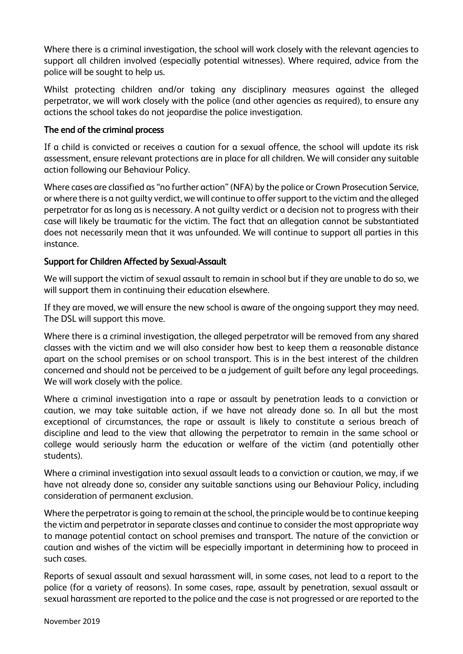Where there is a criminal investigation, the school will work closely with the relevant agencies to support all children involved (especially potential witnesses). Where required, advice from the police will be sought to help us.

Whilst protecting children and/or taking any disciplinary measures against the alleged perpetrator, we will work closely with the police (and other agencies as required), to ensure any actions the school takes do not jeopardise the police investigation.

# The end of the criminal process

If a child is convicted or receives a caution for a sexual offence, the school will update its risk assessment, ensure relevant protections are in place for all children. We will consider any suitable action following our Behaviour Policy.

Where cases are classified as "no further action" (NFA) by the police or Crown Prosecution Service, or where there is a not guilty verdict, we will continue to offer support to the victim and the alleged perpetrator for as long as is necessary. A not guilty verdict or a decision not to progress with their case will likely be traumatic for the victim. The fact that an allegation cannot be substantiated does not necessarily mean that it was unfounded. We will continue to support all parties in this instance.

# Support for Children Affected by Sexual-Assault

We will support the victim of sexual assault to remain in school but if they are unable to do so, we will support them in continuing their education elsewhere.

If they are moved, we will ensure the new school is aware of the ongoing support they may need. The DSL will support this move.

Where there is a criminal investigation, the alleged perpetrator will be removed from any shared classes with the victim and we will also consider how best to keep them a reasonable distance apart on the school premises or on school transport. This is in the best interest of the children concerned and should not be perceived to be a judgement of guilt before any legal proceedings. We will work closely with the police.

Where a criminal investigation into a rape or assault by penetration leads to a conviction or caution, we may take suitable action, if we have not already done so. In all but the most exceptional of circumstances, the rape or assault is likely to constitute a serious breach of discipline and lead to the view that allowing the perpetrator to remain in the same school or college would seriously harm the education or welfare of the victim (and potentially other students).

Where a criminal investigation into sexual assault leads to a conviction or caution, we may, if we have not already done so, consider any suitable sanctions using our Behaviour Policy, including consideration of permanent exclusion.

Where the perpetrator is going to remain at the school, the principle would be to continue keeping the victim and perpetrator in separate classes and continue to consider the most appropriate way to manage potential contact on school premises and transport. The nature of the conviction or caution and wishes of the victim will be especially important in determining how to proceed in such cases.

Reports of sexual assault and sexual harassment will, in some cases, not lead to a report to the police (for a variety of reasons). In some cases, rape, assault by penetration, sexual assault or sexual harassment are reported to the police and the case is not progressed or are reported to the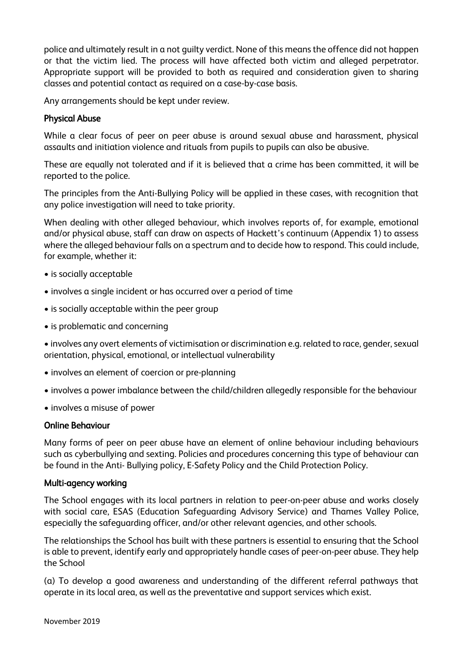police and ultimately result in a not guilty verdict. None of this means the offence did not happen or that the victim lied. The process will have affected both victim and alleged perpetrator. Appropriate support will be provided to both as required and consideration given to sharing classes and potential contact as required on a case-by-case basis.

Any arrangements should be kept under review.

#### Physical Abuse

While a clear focus of peer on peer abuse is around sexual abuse and harassment, physical assaults and initiation violence and rituals from pupils to pupils can also be abusive.

These are equally not tolerated and if it is believed that a crime has been committed, it will be reported to the police.

The principles from the Anti-Bullying Policy will be applied in these cases, with recognition that any police investigation will need to take priority.

When dealing with other alleged behaviour, which involves reports of, for example, emotional and/or physical abuse, staff can draw on aspects of Hackett's continuum (Appendix 1) to assess where the alleged behaviour falls on a spectrum and to decide how to respond. This could include, for example, whether it:

- is socially acceptable
- involves a single incident or has occurred over a period of time
- is socially acceptable within the peer group
- is problematic and concerning

• involves any overt elements of victimisation or discrimination e.g. related to race, gender, sexual orientation, physical, emotional, or intellectual vulnerability

- involves an element of coercion or pre-planning
- involves a power imbalance between the child/children allegedly responsible for the behaviour
- involves a misuse of power

#### Online Behaviour

Many forms of peer on peer abuse have an element of online behaviour including behaviours such as cyberbullying and sexting. Policies and procedures concerning this type of behaviour can be found in the Anti- Bullying policy, E-Safety Policy and the Child Protection Policy.

#### Multi-agency working

The School engages with its local partners in relation to peer-on-peer abuse and works closely with social care, ESAS (Education Safeguarding Advisory Service) and Thames Valley Police, especially the safeguarding officer, and/or other relevant agencies, and other schools.

The relationships the School has built with these partners is essential to ensuring that the School is able to prevent, identify early and appropriately handle cases of peer-on-peer abuse. They help the School

(a) To develop a good awareness and understanding of the different referral pathways that operate in its local area, as well as the preventative and support services which exist.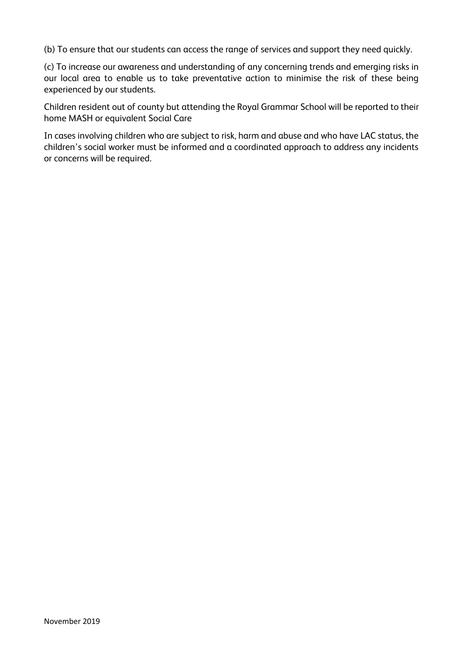(b) To ensure that our students can access the range of services and support they need quickly.

(c) To increase our awareness and understanding of any concerning trends and emerging risks in our local area to enable us to take preventative action to minimise the risk of these being experienced by our students.

Children resident out of county but attending the Royal Grammar School will be reported to their home MASH or equivalent Social Care

In cases involving children who are subject to risk, harm and abuse and who have LAC status, the children's social worker must be informed and a coordinated approach to address any incidents or concerns will be required.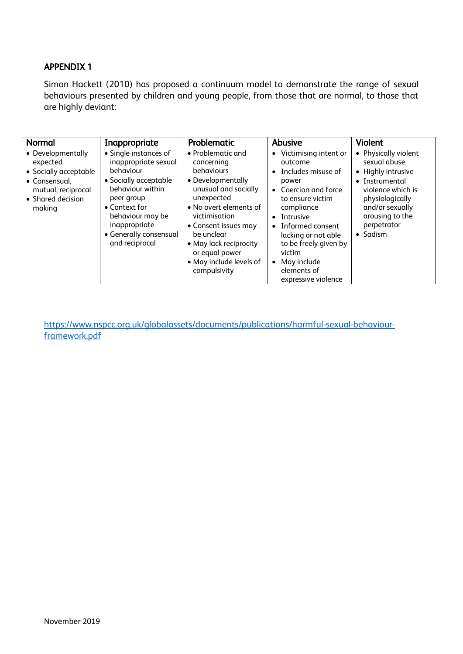# APPENDIX 1

Simon Hackett (2010) has proposed a continuum model to demonstrate the range of sexual behaviours presented by children and young people, from those that are normal, to those that are highly deviant:

| Normal                                                                                                                       | Inappropriate                                                                                                                                                                                                           | Problematic                                                                                                                                                                                                                                                                      | Abusive                                                                                                                                                                                                                                                                                                                                    | <b>Violent</b>                                                                                                                                                                                |
|------------------------------------------------------------------------------------------------------------------------------|-------------------------------------------------------------------------------------------------------------------------------------------------------------------------------------------------------------------------|----------------------------------------------------------------------------------------------------------------------------------------------------------------------------------------------------------------------------------------------------------------------------------|--------------------------------------------------------------------------------------------------------------------------------------------------------------------------------------------------------------------------------------------------------------------------------------------------------------------------------------------|-----------------------------------------------------------------------------------------------------------------------------------------------------------------------------------------------|
| • Developmentally<br>expected<br>• Socially acceptable<br>• Consensual.<br>mutual, reciprocal<br>• Shared decision<br>making | • Single instances of<br>inappropriate sexual<br>behaviour<br>• Socially acceptable<br>behaviour within<br>peer group<br>• Context for<br>behaviour may be<br>inappropriate<br>• Generally consensual<br>and reciprocal | • Problematic and<br>concerning<br>behaviours<br>• Developmentally<br>unusual and socially<br>unexpected<br>• No overt elements of<br>victimisation<br>• Consent issues may<br>be unclear<br>• May lack reciprocity<br>or equal power<br>• May include levels of<br>compulsivity | • Victimising intent or<br>outcome<br>Includes misuse of<br>$\bullet$<br>power<br>Coercion and force<br>$\bullet$<br>to ensure victim<br>compliance<br>Intrusive<br>$\bullet$<br>Informed consent<br>$\bullet$<br>lacking or not able<br>to be freely given by<br>victim<br>May include<br>$\bullet$<br>elements of<br>expressive violence | • Physically violent<br>sexual abuse<br>• Highly intrusive<br>• Instrumental<br>violence which is<br>physiologically<br>and/or sexually<br>arousing to the<br>perpetrator<br>$\bullet$ Sadism |

[https://www.nspcc.org.uk/globalassets/documents/publications/harmful-sexual-behaviour](https://www.nspcc.org.uk/globalassets/documents/publications/harmful-sexual-behaviour-framework.pdf)[framework.pdf](https://www.nspcc.org.uk/globalassets/documents/publications/harmful-sexual-behaviour-framework.pdf)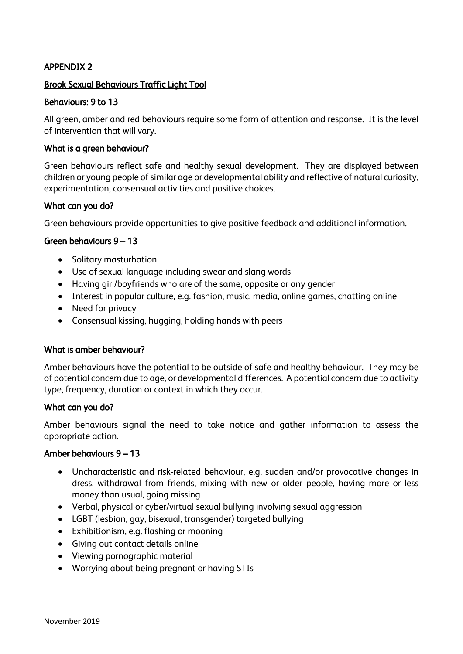# APPENDIX 2

### Brook Sexual Behaviours Traffic Light Tool

## Behaviours: 9 to 13

All green, amber and red behaviours require some form of attention and response. It is the level of intervention that will vary.

#### What is a green behaviour?

Green behaviours reflect safe and healthy sexual development. They are displayed between children or young people of similar age or developmental ability and reflective of natural curiosity, experimentation, consensual activities and positive choices.

#### What can you do?

Green behaviours provide opportunities to give positive feedback and additional information.

#### Green behaviours 9 – 13

- Solitary masturbation
- Use of sexual language including swear and slang words
- Having girl/boyfriends who are of the same, opposite or any gender
- Interest in popular culture, e.g. fashion, music, media, online games, chatting online
- Need for privacy
- Consensual kissing, hugging, holding hands with peers

#### What is amber behaviour?

Amber behaviours have the potential to be outside of safe and healthy behaviour. They may be of potential concern due to age, or developmental differences. A potential concern due to activity type, frequency, duration or context in which they occur.

#### What can you do?

Amber behaviours signal the need to take notice and gather information to assess the appropriate action.

#### Amber behaviours 9 – 13

- Uncharacteristic and risk-related behaviour, e.g. sudden and/or provocative changes in dress, withdrawal from friends, mixing with new or older people, having more or less money than usual, going missing
- Verbal, physical or cyber/virtual sexual bullying involving sexual aggression
- LGBT (lesbian, gay, bisexual, transgender) targeted bullying
- Exhibitionism, e.g. flashing or mooning
- Giving out contact details online
- Viewing pornographic material
- Worrying about being pregnant or having STIs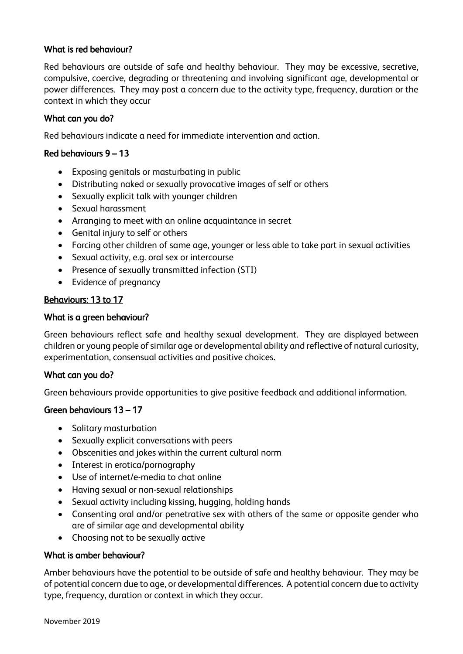# What is red behaviour?

Red behaviours are outside of safe and healthy behaviour. They may be excessive, secretive, compulsive, coercive, degrading or threatening and involving significant age, developmental or power differences. They may post a concern due to the activity type, frequency, duration or the context in which they occur

#### What can you do?

Red behaviours indicate a need for immediate intervention and action.

#### Red behaviours 9 – 13

- Exposing genitals or masturbating in public
- Distributing naked or sexually provocative images of self or others
- Sexually explicit talk with younger children
- Sexual harassment
- Arranging to meet with an online acquaintance in secret
- Genital injury to self or others
- Forcing other children of same age, younger or less able to take part in sexual activities
- Sexual activity, e.g. oral sex or intercourse
- Presence of sexually transmitted infection (STI)
- Evidence of pregnancy

#### Behaviours: 13 to 17

#### What is a green behaviour?

Green behaviours reflect safe and healthy sexual development. They are displayed between children or young people of similar age or developmental ability and reflective of natural curiosity, experimentation, consensual activities and positive choices.

#### What can you do?

Green behaviours provide opportunities to give positive feedback and additional information.

#### Green behaviours 13 – 17

- Solitary masturbation
- Sexually explicit conversations with peers
- Obscenities and jokes within the current cultural norm
- Interest in erotica/pornography
- Use of internet/e-media to chat online
- Having sexual or non-sexual relationships
- Sexual activity including kissing, hugging, holding hands
- Consenting oral and/or penetrative sex with others of the same or opposite gender who are of similar age and developmental ability
- Choosing not to be sexually active

#### What is amber behaviour?

Amber behaviours have the potential to be outside of safe and healthy behaviour. They may be of potential concern due to age, or developmental differences. A potential concern due to activity type, frequency, duration or context in which they occur.